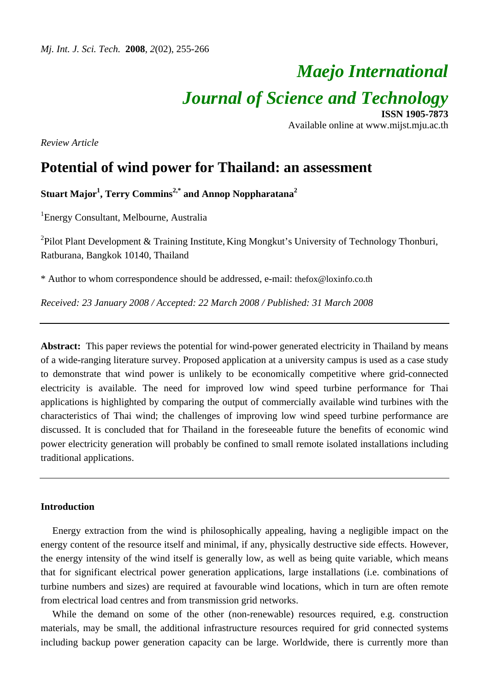# *Maejo International Journal of Science and Technology* **ISSN 1905-7873**

Available online at www.mijst.mju.ac.th

*Review Article* 

# **Potential of wind power for Thailand: an assessment**

**Stuart Major<sup>1</sup> , Terry Commins2,\* and Annop Noppharatana2** 

<sup>1</sup>Energy Consultant, Melbourne, Australia

<sup>2</sup>Pilot Plant Development & Training Institute, King Mongkut's University of Technology Thonburi, Ratburana, Bangkok 10140, Thailand

\* Author to whom correspondence should be addressed, e-mail: thefox@loxinfo.co.th

*Received: 23 January 2008 / Accepted: 22 March 2008 / Published: 31 March 2008* 

**Abstract:** This paper reviews the potential for wind-power generated electricity in Thailand by means of a wide-ranging literature survey. Proposed application at a university campus is used as a case study to demonstrate that wind power is unlikely to be economically competitive where grid-connected electricity is available. The need for improved low wind speed turbine performance for Thai applications is highlighted by comparing the output of commercially available wind turbines with the characteristics of Thai wind; the challenges of improving low wind speed turbine performance are discussed. It is concluded that for Thailand in the foreseeable future the benefits of economic wind power electricity generation will probably be confined to small remote isolated installations including traditional applications.

#### **Introduction**

Energy extraction from the wind is philosophically appealing, having a negligible impact on the energy content of the resource itself and minimal, if any, physically destructive side effects. However, the energy intensity of the wind itself is generally low, as well as being quite variable, which means that for significant electrical power generation applications, large installations (i.e. combinations of turbine numbers and sizes) are required at favourable wind locations, which in turn are often remote from electrical load centres and from transmission grid networks.

While the demand on some of the other (non-renewable) resources required, e.g. construction materials, may be small, the additional infrastructure resources required for grid connected systems including backup power generation capacity can be large. Worldwide, there is currently more than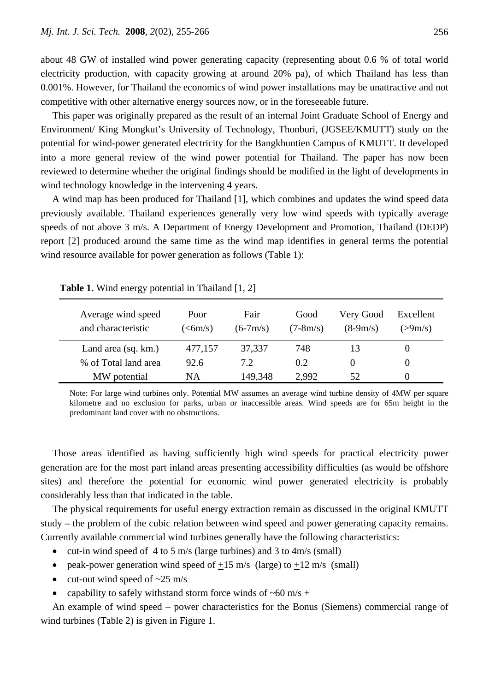about 48 GW of installed wind power generating capacity (representing about 0.6 % of total world electricity production, with capacity growing at around 20% pa), of which Thailand has less than 0.001%. However, for Thailand the economics of wind power installations may be unattractive and not competitive with other alternative energy sources now, or in the foreseeable future.

This paper was originally prepared as the result of an internal Joint Graduate School of Energy and Environment/ King Mongkut's University of Technology, Thonburi, (JGSEE/KMUTT) study on the potential for wind-power generated electricity for the Bangkhuntien Campus of KMUTT. It developed into a more general review of the wind power potential for Thailand. The paper has now been reviewed to determine whether the original findings should be modified in the light of developments in wind technology knowledge in the intervening 4 years.

A wind map has been produced for Thailand [1], which combines and updates the wind speed data previously available. Thailand experiences generally very low wind speeds with typically average speeds of not above 3 m/s. A Department of Energy Development and Promotion, Thailand (DEDP) report [2] produced around the same time as the wind map identifies in general terms the potential wind resource available for power generation as follows (Table 1):

| Average wind speed<br>and characteristic | Poor<br>(<6m/s) | Fair<br>$(6-7m/s)$ | Good<br>$(7-8m/s)$ | Very Good<br>$(8-9m/s)$ | Excellent<br>(>9m/s) |
|------------------------------------------|-----------------|--------------------|--------------------|-------------------------|----------------------|
| Land area (sq. km.)                      | 477,157         | 37,337             | 748                | 13                      |                      |
| % of Total land area                     | 92.6            | 7.2                | 0.2                |                         |                      |
| MW potential                             | NΑ              | 149,348            | 2.992              | 52                      |                      |

 **Table 1.** Wind energy potential in Thailand [1, 2]

Note: For large wind turbines only. Potential MW assumes an average wind turbine density of 4MW per square kilometre and no exclusion for parks, urban or inaccessible areas. Wind speeds are for 65m height in the predominant land cover with no obstructions.

Those areas identified as having sufficiently high wind speeds for practical electricity power generation are for the most part inland areas presenting accessibility difficulties (as would be offshore sites) and therefore the potential for economic wind power generated electricity is probably considerably less than that indicated in the table.

The physical requirements for useful energy extraction remain as discussed in the original KMUTT study – the problem of the cubic relation between wind speed and power generating capacity remains. Currently available commercial wind turbines generally have the following characteristics:

- cut-in wind speed of 4 to 5 m/s (large turbines) and 3 to 4m/s (small)
- peak-power generation wind speed of  $+15$  m/s (large) to  $+12$  m/s (small)
- cut-out wind speed of  $\sim$ 25 m/s
- capability to safely withstand storm force winds of  $\sim 60$  m/s +

An example of wind speed – power characteristics for the Bonus (Siemens) commercial range of wind turbines (Table 2) is given in Figure 1.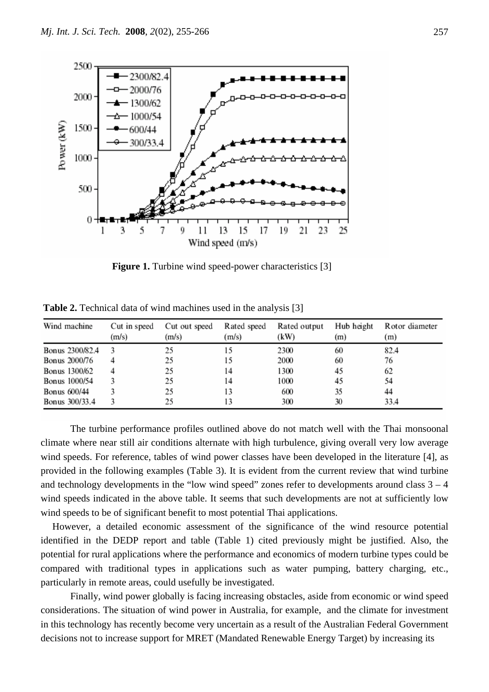

**Figure 1.** Turbine wind speed-power characteristics [3]

| Wind machine    | Cut in speed<br>(m/s) | Cut out speed<br>(m/s) | Rated speed<br>(m/s) | Rated output<br>(kW) | Hub height<br>(m) | Rotor diameter<br>(m) |
|-----------------|-----------------------|------------------------|----------------------|----------------------|-------------------|-----------------------|
| Bonus 2300/82.4 |                       | 25                     | 15                   | 2300                 | 60                | 82.4                  |
| Bonus 2000/76   |                       | 25                     | 15                   | 2000                 | 60                | 76                    |
| Bonus 1300/62   |                       | 25                     | 14                   | 1300                 | 45                | 62                    |
| Bonus 1000/54   |                       | 25                     | 14                   | 1000                 | 45                | 54                    |
| Bonus 600/44    |                       | 25                     | 13                   | 600                  | 35                | 44                    |
| Bonus 300/33.4  |                       | 25                     | 13                   | 300                  | 30                | 33.4                  |

**Table 2.** Technical data of wind machines used in the analysis [3]

The turbine performance profiles outlined above do not match well with the Thai monsoonal climate where near still air conditions alternate with high turbulence, giving overall very low average wind speeds. For reference, tables of wind power classes have been developed in the literature [4], as provided in the following examples (Table 3). It is evident from the current review that wind turbine and technology developments in the "low wind speed" zones refer to developments around class  $3 - 4$ wind speeds indicated in the above table. It seems that such developments are not at sufficiently low wind speeds to be of significant benefit to most potential Thai applications.

However, a detailed economic assessment of the significance of the wind resource potential identified in the DEDP report and table (Table 1) cited previously might be justified. Also, the potential for rural applications where the performance and economics of modern turbine types could be compared with traditional types in applications such as water pumping, battery charging, etc., particularly in remote areas, could usefully be investigated.

Finally, wind power globally is facing increasing obstacles, aside from economic or wind speed considerations. The situation of wind power in Australia, for example, and the climate for investment in this technology has recently become very uncertain as a result of the Australian Federal Government decisions not to increase support for MRET (Mandated Renewable Energy Target) by increasing its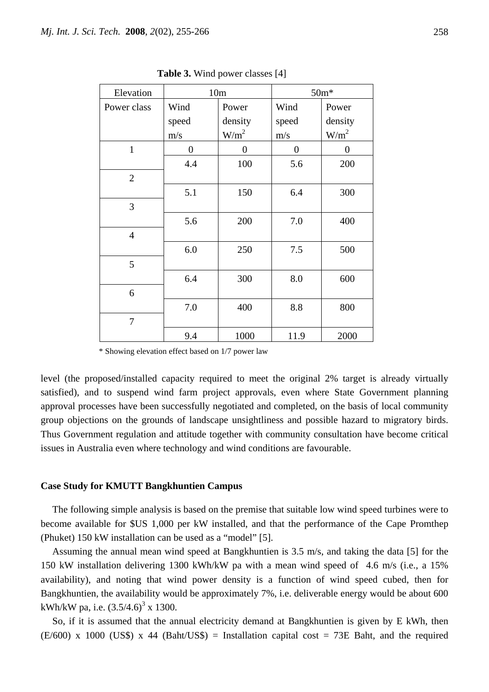| Elevation      | 10 <sub>m</sub> |          | $50m*$         |                  |
|----------------|-----------------|----------|----------------|------------------|
| Power class    | Wind            | Power    | Wind           | Power            |
|                | speed           | density  | speed          | density          |
|                | m/s             | $W/m^2$  | m/s            | W/m <sup>2</sup> |
| $\mathbf{1}$   | $\Omega$        | $\theta$ | $\overline{0}$ | $\overline{0}$   |
|                | 4.4             | 100      | 5.6            | 200              |
| $\overline{2}$ |                 |          |                |                  |
|                | 5.1             | 150      | 6.4            | 300              |
| 3              |                 |          |                |                  |
|                | 5.6             | 200      | 7.0            | 400              |
| $\overline{4}$ |                 |          |                |                  |
|                | 6.0             | 250      | 7.5            | 500              |
| 5              |                 |          |                |                  |
|                | 6.4             | 300      | 8.0            | 600              |
| 6              |                 |          |                |                  |
|                | 7.0             | 400      | 8.8            | 800              |
| 7              |                 |          |                |                  |
|                | 9.4             | 1000     | 11.9           | 2000             |

 **Table 3.** Wind power classes [4]

\* Showing elevation effect based on 1/7 power law

level (the proposed/installed capacity required to meet the original 2% target is already virtually satisfied), and to suspend wind farm project approvals, even where State Government planning approval processes have been successfully negotiated and completed, on the basis of local community group objections on the grounds of landscape unsightliness and possible hazard to migratory birds. Thus Government regulation and attitude together with community consultation have become critical issues in Australia even where technology and wind conditions are favourable.

#### **Case Study for KMUTT Bangkhuntien Campus**

The following simple analysis is based on the premise that suitable low wind speed turbines were to become available for \$US 1,000 per kW installed, and that the performance of the Cape Promthep (Phuket) 150 kW installation can be used as a "model" [5].

Assuming the annual mean wind speed at Bangkhuntien is 3.5 m/s, and taking the data [5] for the 150 kW installation delivering 1300 kWh/kW pa with a mean wind speed of 4.6 m/s (i.e., a 15% availability), and noting that wind power density is a function of wind speed cubed, then for Bangkhuntien, the availability would be approximately 7%, i.e. deliverable energy would be about 600 kWh/kW pa, i.e.  $(3.5/4.6)^3$  x 1300.

So, if it is assumed that the annual electricity demand at Bangkhuntien is given by E kWh, then  $(E/600)$  x 1000 (US\$) x 44 (Baht/US\$) = Installation capital cost = 73E Baht, and the required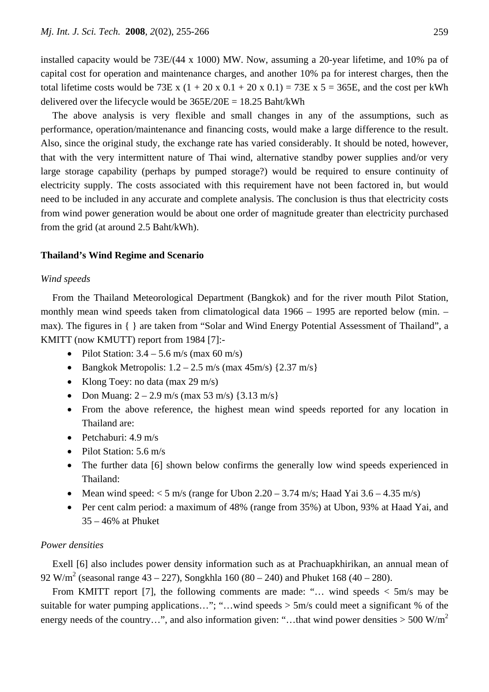installed capacity would be 73E/(44 x 1000) MW. Now, assuming a 20-year lifetime, and 10% pa of capital cost for operation and maintenance charges, and another 10% pa for interest charges, then the total lifetime costs would be 73E x  $(1 + 20 \times 0.1 + 20 \times 0.1) = 73E \times 5 = 365E$ , and the cost per kWh delivered over the lifecycle would be  $365E/20E = 18.25$  Baht/kWh

The above analysis is very flexible and small changes in any of the assumptions, such as performance, operation/maintenance and financing costs, would make a large difference to the result. Also, since the original study, the exchange rate has varied considerably. It should be noted, however, that with the very intermittent nature of Thai wind, alternative standby power supplies and/or very large storage capability (perhaps by pumped storage?) would be required to ensure continuity of electricity supply. The costs associated with this requirement have not been factored in, but would need to be included in any accurate and complete analysis. The conclusion is thus that electricity costs from wind power generation would be about one order of magnitude greater than electricity purchased from the grid (at around 2.5 Baht/kWh).

#### **Thailand's Wind Regime and Scenario**

#### *Wind speeds*

From the Thailand Meteorological Department (Bangkok) and for the river mouth Pilot Station, monthly mean wind speeds taken from climatological data 1966 – 1995 are reported below (min. – max). The figures in { } are taken from "Solar and Wind Energy Potential Assessment of Thailand", a KMITT (now KMUTT) report from 1984 [7]:-

- Pilot Station:  $3.4 5.6$  m/s (max  $60$  m/s)
- Bangkok Metropolis:  $1.2 2.5$  m/s (max  $45$ m/s)  $\{2.37$  m/s}
- Klong Toey: no data (max 29 m/s)
- Don Muang:  $2 2.9$  m/s (max 53 m/s) {3.13 m/s}
- From the above reference, the highest mean wind speeds reported for any location in Thailand are:
- Petchaburi:  $4.9 \text{ m/s}$
- Pilot Station: 5.6 m/s
- The further data [6] shown below confirms the generally low wind speeds experienced in Thailand:
- Mean wind speed:  $< 5$  m/s (range for Ubon 2.20 3.74 m/s; Haad Yai 3.6 4.35 m/s)
- Per cent calm period: a maximum of 48% (range from 35%) at Ubon, 93% at Haad Yai, and 35 – 46% at Phuket

# *Power densities*

Exell [6] also includes power density information such as at Prachuapkhirikan, an annual mean of 92 W/m<sup>2</sup> (seasonal range 43 – 227), Songkhla 160 (80 – 240) and Phuket 168 (40 – 280).

From KMITT report [7], the following comments are made: "… wind speeds < 5m/s may be suitable for water pumping applications…"; "...wind speeds > 5m/s could meet a significant % of the energy needs of the country…", and also information given: "...that wind power densities  $> 500$  W/m<sup>2</sup>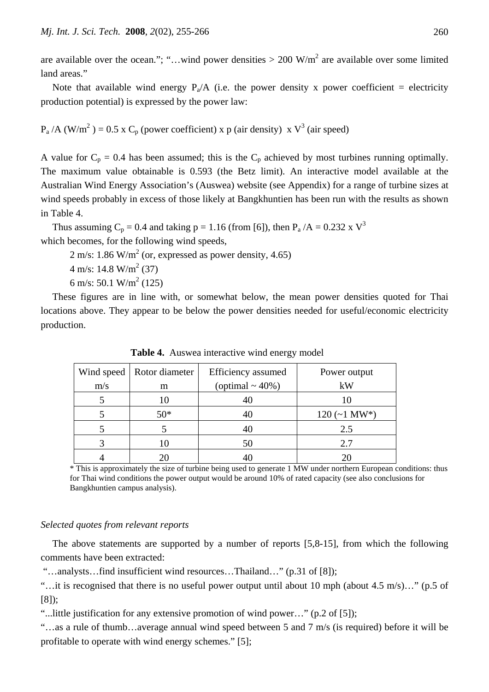are available over the ocean."; "...wind power densities  $> 200$  W/m<sup>2</sup> are available over some limited land areas."

Note that available wind energy  $P_a/A$  (i.e. the power density x power coefficient = electricity production potential) is expressed by the power law:

 $P_a/A$  (W/m<sup>2</sup>) = 0.5 x C<sub>p</sub> (power coefficient) x p (air density) x V<sup>3</sup> (air speed)

A value for  $C_p = 0.4$  has been assumed; this is the  $C_p$  achieved by most turbines running optimally. The maximum value obtainable is 0.593 (the Betz limit). An interactive model available at the Australian Wind Energy Association's (Auswea) website (see Appendix) for a range of turbine sizes at wind speeds probably in excess of those likely at Bangkhuntien has been run with the results as shown in Table 4.

Thus assuming  $C_p = 0.4$  and taking  $p = 1.16$  (from [6]), then  $P_a / A = 0.232 \times V^3$ which becomes, for the following wind speeds,

2 m/s: 1.86 W/m<sup>2</sup> (or, expressed as power density, 4.65)

 $4 \text{ m/s}: 14.8 \text{ W/m}^2 (37)$ 

6 m/s: 50.1 W/m<sup>2</sup> (125)

These figures are in line with, or somewhat below, the mean power densities quoted for Thai locations above. They appear to be below the power densities needed for useful/economic electricity production.

|     | Wind speed   Rotor diameter | Efficiency assumed   | Power output          |
|-----|-----------------------------|----------------------|-----------------------|
| m/s | m                           | (optimal $\sim$ 40%) | kW                    |
|     |                             | 40                   |                       |
|     | $50*$                       | 40                   | $120(-1 \text{ MW*})$ |
|     |                             | 40                   | 2.5                   |
|     |                             | 50                   | 2.7                   |
|     |                             |                      |                       |

 **Table 4.** Auswea interactive wind energy model

\* This is approximately the size of turbine being used to generate 1 MW under northern European conditions: thus for Thai wind conditions the power output would be around 10% of rated capacity (see also conclusions for Bangkhuntien campus analysis).

#### *Selected quotes from relevant reports*

The above statements are supported by a number of reports [5,8-15], from which the following comments have been extracted:

"…analysts…find insufficient wind resources…Thailand…" (p.31 of [8]);

"…it is recognised that there is no useful power output until about 10 mph (about 4.5 m/s)…" (p.5 of [8]);

"...little justification for any extensive promotion of wind power…" (p.2 of [5]);

"…as a rule of thumb…average annual wind speed between 5 and 7 m/s (is required) before it will be profitable to operate with wind energy schemes." [5];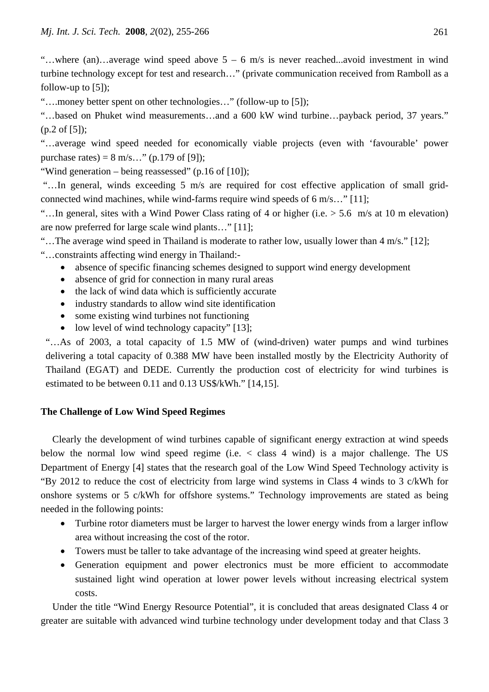"...where (an)...average wind speed above  $5 - 6$  m/s is never reached...avoid investment in wind turbine technology except for test and research…" (private communication received from Ramboll as a follow-up to [5]);

"….money better spent on other technologies…" (follow-up to [5]);

"…based on Phuket wind measurements…and a 600 kW wind turbine…payback period, 37 years." (p.2 of [5]);

"…average wind speed needed for economically viable projects (even with 'favourable' power purchase rates) =  $8 \text{ m/s}$ ..." (p.179 of [9]);

"Wind generation – being reassessed" (p.16 of [10]);

 "…In general, winds exceeding 5 m/s are required for cost effective application of small gridconnected wind machines, while wind-farms require wind speeds of 6 m/s…" [11];

"...In general, sites with a Wind Power Class rating of 4 or higher (i.e.  $> 5.6$  m/s at 10 m elevation) are now preferred for large scale wind plants…" [11];

"…The average wind speed in Thailand is moderate to rather low, usually lower than 4 m/s." [12]; "…constraints affecting wind energy in Thailand:-

- absence of specific financing schemes designed to support wind energy development
- absence of grid for connection in many rural areas
- the lack of wind data which is sufficiently accurate
- industry standards to allow wind site identification
- some existing wind turbines not functioning
- low level of wind technology capacity" [13];

"…As of 2003, a total capacity of 1.5 MW of (wind-driven) water pumps and wind turbines delivering a total capacity of 0.388 MW have been installed mostly by the Electricity Authority of Thailand (EGAT) and DEDE. Currently the production cost of electricity for wind turbines is estimated to be between 0.11 and 0.13 US\$/kWh." [14,15].

# **The Challenge of Low Wind Speed Regimes**

Clearly the development of wind turbines capable of significant energy extraction at wind speeds below the normal low wind speed regime (i.e. < class 4 wind) is a major challenge. The US Department of Energy [4] states that the research goal of the Low Wind Speed Technology activity is "By 2012 to reduce the cost of electricity from large wind systems in Class 4 winds to 3 c/kWh for onshore systems or 5 c/kWh for offshore systems." Technology improvements are stated as being needed in the following points:

- Turbine rotor diameters must be larger to harvest the lower energy winds from a larger inflow area without increasing the cost of the rotor.
- Towers must be taller to take advantage of the increasing wind speed at greater heights.
- Generation equipment and power electronics must be more efficient to accommodate sustained light wind operation at lower power levels without increasing electrical system costs.

Under the title "Wind Energy Resource Potential", it is concluded that areas designated Class 4 or greater are suitable with advanced wind turbine technology under development today and that Class 3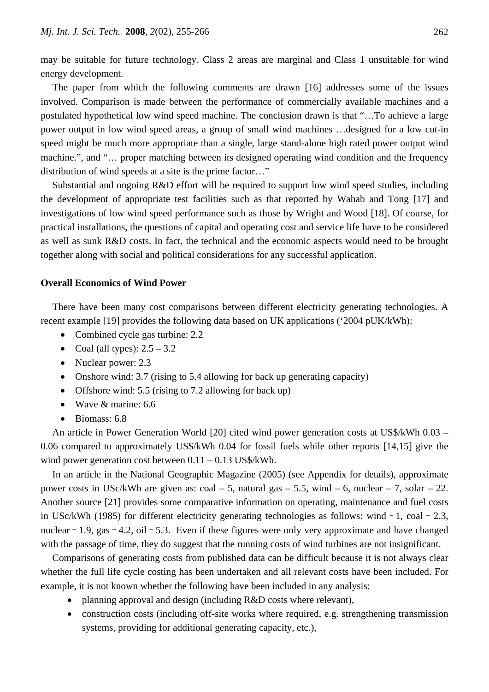may be suitable for future technology. Class 2 areas are marginal and Class 1 unsuitable for wind energy development.

The paper from which the following comments are drawn [16] addresses some of the issues involved. Comparison is made between the performance of commercially available machines and a postulated hypothetical low wind speed machine. The conclusion drawn is that "…To achieve a large power output in low wind speed areas, a group of small wind machines …designed for a low cut-in speed might be much more appropriate than a single, large stand-alone high rated power output wind machine.", and "… proper matching between its designed operating wind condition and the frequency distribution of wind speeds at a site is the prime factor…"

Substantial and ongoing R&D effort will be required to support low wind speed studies, including the development of appropriate test facilities such as that reported by Wahab and Tong [17] and investigations of low wind speed performance such as those by Wright and Wood [18]. Of course, for practical installations, the questions of capital and operating cost and service life have to be considered as well as sunk R&D costs. In fact, the technical and the economic aspects would need to be brought together along with social and political considerations for any successful application.

## **Overall Economics of Wind Power**

There have been many cost comparisons between different electricity generating technologies. A recent example [19] provides the following data based on UK applications ('2004 pUK/kWh):

- Combined cycle gas turbine: 2.2
- Coal (all types):  $2.5 3.2$
- Nuclear power: 2.3
- Onshore wind: 3.7 (rising to 5.4 allowing for back up generating capacity)
- Offshore wind: 5.5 (rising to 7.2 allowing for back up)
- Wave & marine: 6.6
- Biomass: 6.8

An article in Power Generation World [20] cited wind power generation costs at US\$/kWh 0.03 – 0.06 compared to approximately US\$/kWh 0.04 for fossil fuels while other reports [14,15] give the wind power generation cost between  $0.11 - 0.13$  US\$/kWh.

In an article in the National Geographic Magazine (2005) (see Appendix for details), approximate power costs in USc/kWh are given as:  $\c{coal} - 5$ , natural gas  $-5.5$ , wind  $-6$ , nuclear  $-7$ , solar  $-22$ . Another source [21] provides some comparative information on operating, maintenance and fuel costs in USc/kWh (1985) for different electricity generating technologies as follows: wind  $-1$ , coal  $-2.3$ , nuclear  $-1.9$ , gas  $-4.2$ , oil  $-5.3$ . Even if these figures were only very approximate and have changed with the passage of time, they do suggest that the running costs of wind turbines are not insignificant.

Comparisons of generating costs from published data can be difficult because it is not always clear whether the full life cycle costing has been undertaken and all relevant costs have been included. For example, it is not known whether the following have been included in any analysis:

- planning approval and design (including R&D costs where relevant),
- construction costs (including off-site works where required, e.g. strengthening transmission systems, providing for additional generating capacity, etc.),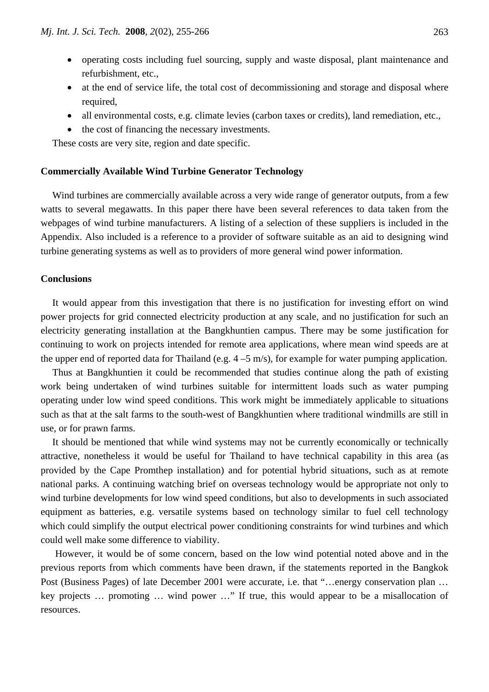- operating costs including fuel sourcing, supply and waste disposal, plant maintenance and refurbishment, etc.,
- at the end of service life, the total cost of decommissioning and storage and disposal where required,
- all environmental costs, e.g. climate levies (carbon taxes or credits), land remediation, etc.,
- the cost of financing the necessary investments.

These costs are very site, region and date specific.

#### **Commercially Available Wind Turbine Generator Technology**

Wind turbines are commercially available across a very wide range of generator outputs, from a few watts to several megawatts. In this paper there have been several references to data taken from the webpages of wind turbine manufacturers. A listing of a selection of these suppliers is included in the Appendix. Also included is a reference to a provider of software suitable as an aid to designing wind turbine generating systems as well as to providers of more general wind power information.

#### **Conclusions**

It would appear from this investigation that there is no justification for investing effort on wind power projects for grid connected electricity production at any scale, and no justification for such an electricity generating installation at the Bangkhuntien campus. There may be some justification for continuing to work on projects intended for remote area applications, where mean wind speeds are at the upper end of reported data for Thailand (e.g.  $4-5$  m/s), for example for water pumping application.

Thus at Bangkhuntien it could be recommended that studies continue along the path of existing work being undertaken of wind turbines suitable for intermittent loads such as water pumping operating under low wind speed conditions. This work might be immediately applicable to situations such as that at the salt farms to the south-west of Bangkhuntien where traditional windmills are still in use, or for prawn farms.

It should be mentioned that while wind systems may not be currently economically or technically attractive, nonetheless it would be useful for Thailand to have technical capability in this area (as provided by the Cape Promthep installation) and for potential hybrid situations, such as at remote national parks. A continuing watching brief on overseas technology would be appropriate not only to wind turbine developments for low wind speed conditions, but also to developments in such associated equipment as batteries, e.g. versatile systems based on technology similar to fuel cell technology which could simplify the output electrical power conditioning constraints for wind turbines and which could well make some difference to viability.

However, it would be of some concern, based on the low wind potential noted above and in the previous reports from which comments have been drawn, if the statements reported in the Bangkok Post (Business Pages) of late December 2001 were accurate, i.e. that "…energy conservation plan … key projects … promoting … wind power …" If true, this would appear to be a misallocation of resources.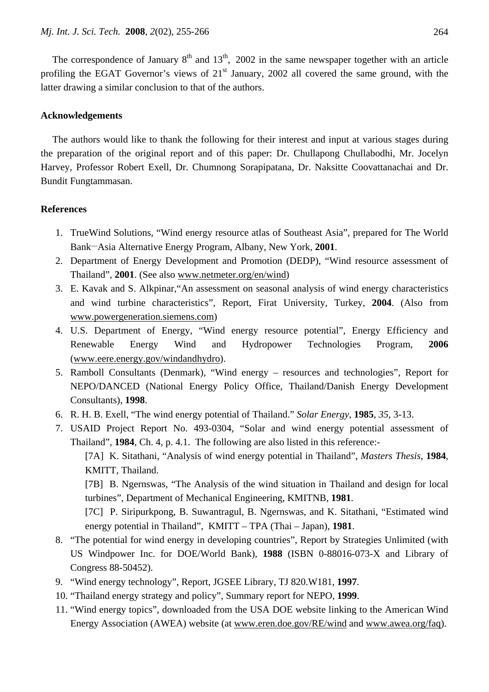The correspondence of January  $8<sup>th</sup>$  and  $13<sup>th</sup>$ , 2002 in the same newspaper together with an article profiling the EGAT Governor's views of  $21<sup>st</sup>$  January, 2002 all covered the same ground, with the latter drawing a similar conclusion to that of the authors.

# **Acknowledgements**

The authors would like to thank the following for their interest and input at various stages during the preparation of the original report and of this paper: Dr. Chullapong Chullabodhi, Mr. Jocelyn Harvey, Professor Robert Exell, Dr. Chumnong Sorapipatana, Dr. Naksitte Coovattanachai and Dr. Bundit Fungtammasan.

### **References**

- 1. TrueWind Solutions, "Wind energy resource atlas of Southeast Asia", prepared for The World Bank\_\_Asia Alternative Energy Program, Albany, New York, **2001**.
- 2. Department of Energy Development and Promotion (DEDP), "Wind resource assessment of Thailand", **2001**. (See also www.netmeter.org/en/wind)
- 3. E. Kavak and S. Alkpinar,"An assessment on seasonal analysis of wind energy characteristics and wind turbine characteristics", Report, Firat University, Turkey, **2004**. (Also from www.powergeneration.siemens.com)
- 4. U.S. Department of Energy, "Wind energy resource potential", Energy Efficiency and Renewable Energy Wind and Hydropower Technologies Program, **2006** (www.eere.energy.gov/windandhydro).
- 5. Ramboll Consultants (Denmark), "Wind energy resources and technologies", Report for NEPO/DANCED (National Energy Policy Office, Thailand/Danish Energy Development Consultants), **1998**.
- 6. R. H. B. Exell, "The wind energy potential of Thailand." *Solar Energy*, **1985**, *35*, 3-13.
- 7. USAID Project Report No. 493-0304, "Solar and wind energy potential assessment of Thailand", **1984**, Ch. 4, p. 4.1. The following are also listed in this reference:- [7A] K. Sitathani, "Analysis of wind energy potential in Thailand", *Masters Thesis*, **1984**, KMITT, Thailand. [7B] B. Ngernswas, "The Analysis of the wind situation in Thailand and design for local turbines", Department of Mechanical Engineering, KMITNB, **1981**. [7C] P. Siripurkpong, B. Suwantragul, B. Ngernswas, and K. Sitathani, "Estimated wind energy potential in Thailand", KMITT – TPA (Thai – Japan), **1981**.
- 8. "The potential for wind energy in developing countries", Report by Strategies Unlimited (with US Windpower Inc. for DOE/World Bank), **1988** (ISBN 0-88016-073-X and Library of Congress 88-50452).
- 9. "Wind energy technology", Report, JGSEE Library, TJ 820.W181, **1997**.
- 10. "Thailand energy strategy and policy", Summary report for NEPO, **1999**.
- 11. "Wind energy topics", downloaded from the USA DOE website linking to the American Wind Energy Association (AWEA) website (at www.eren.doe.gov/RE/wind and www.awea.org/faq).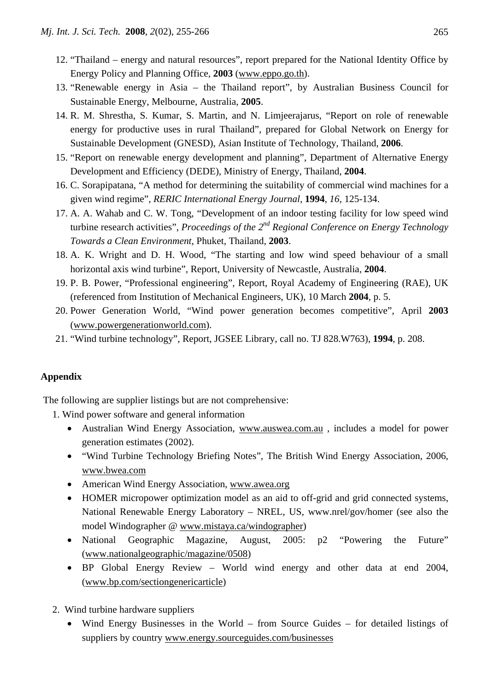- 12. "Thailand energy and natural resources", report prepared for the National Identity Office by Energy Policy and Planning Office, **2003** (www.eppo.go.th).
- 13. "Renewable energy in Asia the Thailand report", by Australian Business Council for Sustainable Energy, Melbourne, Australia, **2005**.
- 14. R. M. Shrestha, S. Kumar, S. Martin, and N. Limjeerajarus, "Report on role of renewable energy for productive uses in rural Thailand", prepared for Global Network on Energy for Sustainable Development (GNESD), Asian Institute of Technology, Thailand, **2006**.
- 15. "Report on renewable energy development and planning", Department of Alternative Energy Development and Efficiency (DEDE), Ministry of Energy, Thailand, **2004**.
- 16. C. Sorapipatana, "A method for determining the suitability of commercial wind machines for a given wind regime", *RERIC International Energy Journal*, **1994**, *16*, 125-134.
- 17. A. A. Wahab and C. W. Tong, "Development of an indoor testing facility for low speed wind turbine research activities", *Proceedings of the 2nd Regional Conference on Energy Technology Towards a Clean Environment*, Phuket, Thailand, **2003**.
- 18. A. K. Wright and D. H. Wood, "The starting and low wind speed behaviour of a small horizontal axis wind turbine", Report, University of Newcastle, Australia, **2004**.
- 19. P. B. Power, "Professional engineering", Report, Royal Academy of Engineering (RAE), UK (referenced from Institution of Mechanical Engineers, UK), 10 March **2004**, p. 5.
- 20. Power Generation World, "Wind power generation becomes competitive", April **2003** (www.powergenerationworld.com).
- 21. "Wind turbine technology", Report, JGSEE Library, call no. TJ 828.W763), **1994**, p. 208.

# **Appendix**

The following are supplier listings but are not comprehensive:

- 1. Wind power software and general information
	- Australian Wind Energy Association, www.auswea.com.au , includes a model for power generation estimates (2002).
	- "Wind Turbine Technology Briefing Notes", The British Wind Energy Association, 2006, www.bwea.com
	- American Wind Energy Association, www.awea.org
	- HOMER micropower optimization model as an aid to off-grid and grid connected systems, National Renewable Energy Laboratory – NREL, US, www.nrel/gov/homer (see also the model Windographer @ www.mistaya.ca/windographer)
	- National Geographic Magazine, August, 2005: p2 "Powering the Future" (www.nationalgeographic/magazine/0508)
	- BP Global Energy Review World wind energy and other data at end 2004, (www.bp.com/sectiongenericarticle)
- 2. Wind turbine hardware suppliers
	- Wind Energy Businesses in the World from Source Guides for detailed listings of suppliers by country www.energy.sourceguides.com/businesses